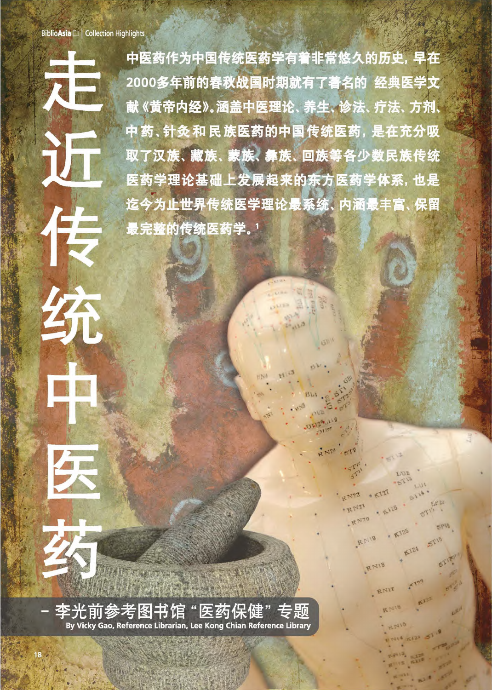佳

统

中医药作为中国传统医药学有着非常悠久的历史, 早在 2000多年前的春秋战国时期就有了著名的 经典医学文 献《黄帝内经》。涵盖中医理论、养生、诊法、疗法、方剂、 中药、针灸和民族医药的中国传统医药,是在充分吸 取了汉族、藏族、蒙族、彝族、回族等各少数民族传统 医药学理论基础上发展起来的东方医药学体系,也是 迄今为止世界传统医学理论最系统、内涵最丰富、保留 最完整的传统医药学。1

 $1.732$ 

E.P. ZU

K124 ST16

 $\frac{1}{2}$ 

 $114 + 121 = 5$ 

**SPIS** 

 $9K127$ 

A 128

R N72

RN21

RN70

RNIS

RNIB

RNIT

**BILAS** 

前参考图书 By Vicky Gao, Reference Librarian, Lee Kong Chian Reference Library

病体が改良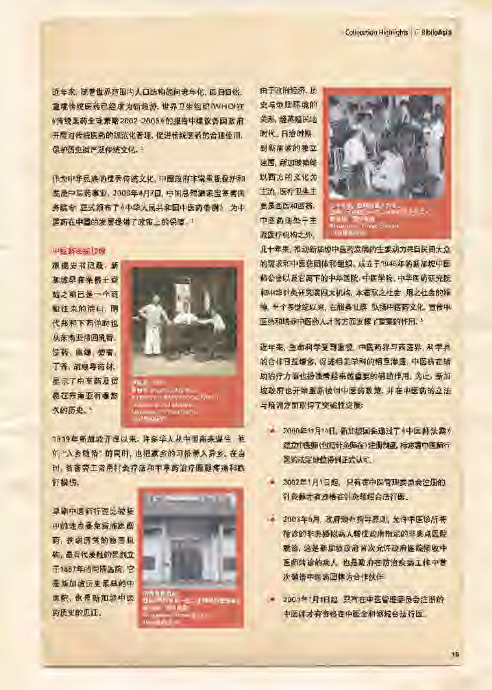近年来,随著世界范围内人口结构趋向老年化,回归目然。 重视传统医药已经成为新趋势, 世界卫生组织IWHOP在 《传统医药全球原略 2002-2005》 的报告中建议各国政府 开展对传统医药的规范化管理, 促进传统医药的合理使用, 保护历史遗产及传统文化。3

作为中年民族的优秀传统文化, 中国政府非常重视保护和 总是中医药事业, 2003年4月7日, 中国总理温家宝签署国 务院令, 亚式施布了《中华人民共和国中医药条例》, 为中 医药在中国的发展提供了政策上的保障。

#### $P = 25.32$ in  $P = 100$

根据史书记载, 新 加您早在来佛士登 随之前已是一个商 超往来的港口, 朋 代邦和下西洋时也 从东南亚带回乳香. 没药 血竭 檀香, 丁香,胡椒毒药材, 显示了中草药及贸 最在东南亚有着悠 久的历史。



 $\begin{split} &\frac{1}{2} \left( \frac{1}{4} \right)^{2} \left( 0.6 \right) \left( 0.0 \right)^{2} \left( 0.0 \right)^{-1} \\ &\left( \frac{1}{2} \right)^{2} \left( 1 \right) \left( 0.0 \right)^{-2} \\ &\left( 0.0 \right)^{-1} \left( 2.0 \right)^{-1} \end{split}$ 

7819年新加坡开埠以来, 许多华人从中国南来煤生, 他 们"入乡随俗"的同时,也把家乡的习俗带入异乡。在当 **时, 资苦劳工常用针灸疗法和中享药治疗膀腿疼痛和跌 打损伤。** 

早期中医师行医比较集 中的地点是免费施医赔 高, 按弱济贫的慈善机 构, 最有代表性的是到立 开1867年的同院医院, 它 是新加坡历史景导的中 医院, 也是新加坡中医 药历史的见证,



由于政治经济、历 史与地腥环境的 关系, 经基础民地 M代, 日治时期 到新加坡的独立 建国, 新加坡始终 以西方的文化为 **生流, 医疗卫生主** 要是西医和西药, 中医药则处于主 流医疗机构之外。



几十年来, 推动新加坡中医药发展的主要动力来自民间大众 的需求和中医药团体和组织 成立于1946年的新加坡中医 师公会以及它属下的中华医院、中医学院、中华医药研究院 初中华计员研究院四大机构, 本着取之社会, 用之社会的符 **神, 半个多世纪以来, 在限务社群, 弘扬中医药文化, 宣传中** 医药和培养中医药人才等方面发酵了重要的作用。"

远年来, 生命科学受到重视, 中医药界与西医界, 科学界 的合作日益增多, 促进相关学科的相互渗透, 中医药在辅 助治疗方面也扮演着越来越重要的辅助作用,为此,新加 坡政府也开始重新检讨中医药政策, 并在中医药的立法 与培训方面取得了奖谑性进展:

- 2000年11月14日, 新加坡国会通过了《中医师法案》 建立中医师(包括针灸师在)注册制度,标志者中医师行 医的法定地位得到正式认可。
- 2002年1月1日起, 只有在中医管理委员会注册的 针灸师才有资格在针灸领域合法行医。
- 2003年5月, 政府颁布指导原则, 允许中医诊所将 接诊的非典疑似病人转往政府指定的非典点医院 就诊, 这是新加坡政府首次允许政府医院接收中 医师精诊的病人, 也是政府在防治疾病工作中营 次強情中医药团体为合作伙伴。
- 2004年1月1日起, 只有在中医管理委员会注册的 中医师才有资格在中医全科领域台法行医。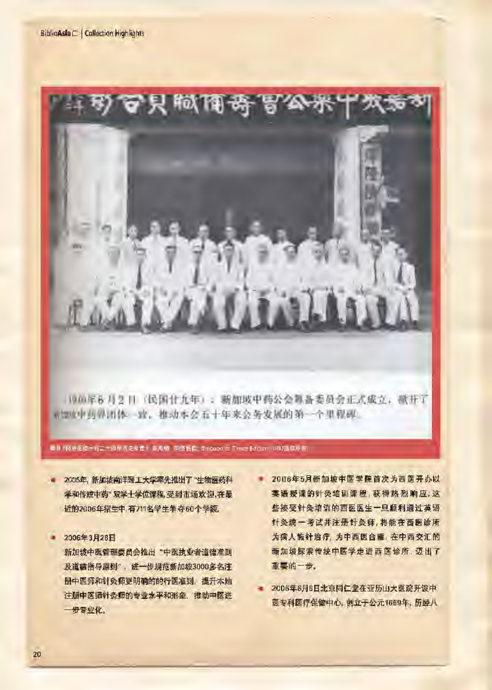

what 中西界出体一致, 推动本会五十年来公务发展的第一个里程碑。

~ 3 × 网络距离 ~ 有二十倍M 历史学位). 17 AM - 同语话稿: Indubate: Times Edition. 1987Jl&*Wi*lfi.

- 2005年, 新加坡南洋理工大学率先推出了"生物医药科 学和传统中药" 双学士学位课程, 受到市场欢迎, 在最 近的2006年招生中, 有711名学生争夺60个学额。
- 2006年3月28日

新加坡中医管理委员会推出"中医执业者道德准则 及道德指导原则", 进一步规范新加坡3000多名注 册中医师和针灸师更明确的的行医准则, 提升本地 注册中医师针灸师的专业水平和形象, 推动中医进 一步专业化。

- 2006年5月新加坡中医学院首次为西医开办以 実语授课的针灸培训课程,获得热烈响应,这 些接受针灸培训的西医医生一旦顺利通过英语 针灸统一考试并注册针灸师,将能在西医诊所 为病人施针治疗, 为中西医台壁, 在中西交汇的 新加坡探索传统中医学走进西医诊所,迈出了 重要的一步。
- 2006年6月6日北京同仁堂在亚历山大医院开设中 医专科医疗保健中心, 创立于公元1669年, 历经八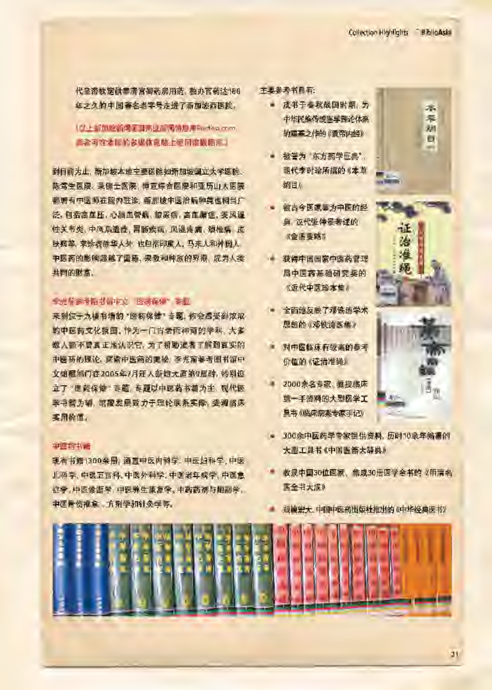代皇帝教定供奉帝宫御药房用药, 独办官药达188 每之久的中国著名老字号走进了新加坡西医院。

# (C) + 新加拿新國河目高业新國信息库Factiva.com, **|此者可在才le轴表媒体克脑上使用高数据库。**

到目前为止, 新加坡本地主要医院如新加坡国立大学医院、 陈鸢生医院、莱佛士医院、樟直综合医院和亚历山大医院 都聘有中医师在院内驻诊, 新加坡中医治病种类也相当广 泛, 包括高血压, 心脑血管病、糖尿病, 高血脂症, 类风湿 性关节炎、中风后遗症、胃肠疾病、风湿疼痛、颈椎病 皮 肤病等, 求诊者除华人外, 也包括印质人, 马来人和外国人, 中医药的影响超越了圆糖, 宗教和种族的界限, 成为人类 共同的财富。

# \*\*M#7f~:j:!m~~"~~§."~M

来到位于九楼书墙的 "医药保健" 专题, 你会感受到浓浓。 的中医药文化氛围,作为一门古老而神奇的学科,大多 数人都不曾真正地认识它, 为了帮助读者了解到真实的 中医药的理论,深索中医药的更祕,李光前参考图书馆中 文馆履部门在2005年7月冠入新館大廈第9层时, 特别设 立了"医药保健"专题,专题以中医药书籍为主, 现代医 学书籍为辅,馆藏发展致力于理论联系实际,强调临床 买用价值。

#### $-$

现有书籍1300余册, 涵盖中医内科学, 中医妇科学, 中医 儿科学、中医五官科、中医外科学、中医老年病学、中医息 症学 中医诊断学 中医养生康复学 中药药剂与胞剥学 中医骨伤椎拿,方剂学和针灸学等。

## **主要参考书目有:**

- 成书于春秋战国时期,为 中华民族传统医学理论体系 的奠基之作的 《黄帝内经》
- 被誉为 东方药学巨典" 明代李时珍所撰的《本草 **绝目》**
- 被古今医家奉为中医的经 典 汉代张仲旻考述的 《金匮要略》
- 获得中国国家中医药管理 局中医药基础研究奖的 《近代中医珍本集》
- 全面地反映了邓铁涛学术 思想的 《邓铁涛医集》
- 对中医临床有较高的参考 价值的《证**治**准绳》
- 2000余名专家 教授临床 第一手资料的大型医学工 早书《临床病案专家手记》
- 300余中医药学专家提供资料, 历时10余年编表的 大型工具书《中国医等大辞典》
- **收录中国30位医家、集成30册医学全书的《明清名** 医全书大成》
- 规模宏大、中国中医药出版杜推出的《中华经典医书》





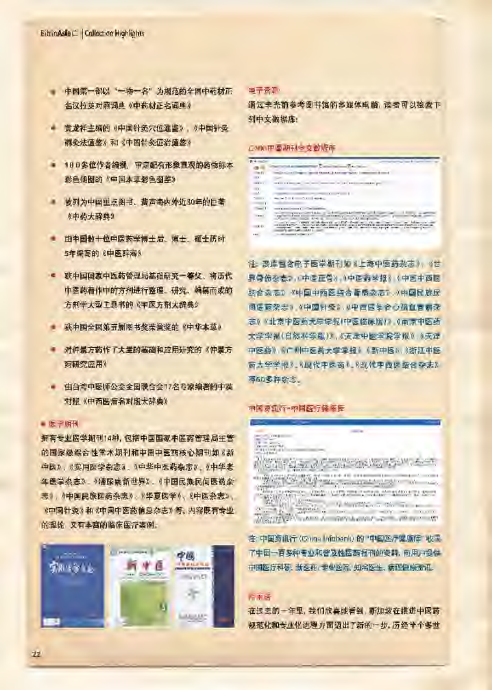- 中国第一部以"一物一名"为规范的全国中药材正 名汉拉英对照词典 《中药材正名词典》
- 黄龙祥主编的《中国针灸穴位通鉴》,《中国针灸 病灸法请鉴》和《中国针灸证治通鉴》
- 100多位作者编撰, 审定配有形象直观的药物标本 彩色插图的《中国本草彩色图鉴》
- **被列为中国重点图书、蜚声海内外近30年的巨著** 《中药大辞典》
- 由中国数十位中医药学博士后、博士、硕士历时 5年编写的《中医辞海》
- 狭中国国家中医药管理局基础研究一等奖、将历代 中医药着作中的方剂进行整理、研究、编纂而成的 方剂学大型工具书的《中医方剂大辞典》
- + 获中国全国第五届图书奖荣誉奖的《中华本草》
- 对仲景方药作了大量的基础和应用研究的《仲景方 标研究应用》
- 由台湾中医师公会全国联合会17名专家编著的中英 对照《中西医病名对照大辞典》

#### $•  $E = 1071$$

拥有专业医学期刊14种, 包括中国国家中医药管理局主管 的国家级综合性学术期刊和中国中医药核心期刊如《新 中医》, 《实用医学杂志》, 《中华中医药杂志》, 《中华老 年医学杂志》,《糖尿病新世界》,《中国民族民间医药杂 志》、《中国民族医药杂志》、《华夏医学》、《中医杂志》、 《中国针灸》和《中国中医药信息杂志》等。内容既有专业 的理论 又有丰富的临床医疗姿例。



## ■子会()

通过李光丽参考图书馆的多媒体电脑,读者可以检索下 到中文数据库:

## この原中原語刊生交数提案

| n                    | antique participants in the first                                                |
|----------------------|----------------------------------------------------------------------------------|
| $\frac{1}{\sqrt{2}}$ | <b>GALLAGE AVENUE</b>                                                            |
|                      |                                                                                  |
| $-1 - 1$             | $-1$ = $1$ = $1$ + $1$ = $-1$ = $-1$<br>and will be the sea constraint and great |
|                      |                                                                                  |
|                      | $1 - 1 - 1 - 1$                                                                  |
|                      | and the company's stated and a                                                   |
|                      |                                                                                  |
|                      | <b>CARD COMPANY COMPANY</b>                                                      |
| $\alpha$             | programmer adds of security<br><b>COLUMN TWO REPORTS</b><br>d'estat i ci         |
| 10.00                | Links & look &<br><b>MELLINE</b>                                                 |
| HE.                  | <b>CONTRACTOR</b>                                                                |
|                      |                                                                                  |

注: 语库包含电子医学期刊如《上海中唇药杂志》, 《世 界骨伤杂志》, 中医正骨), 《中医药学报》 (中国中西医 !i!ift~~», «~~~iffi~!i!ift'~~~~», «~~~~~ 同医商架志》 《中国射吸》 《中西医第合心疏血管病器 去》 《北京中医药大学学报/中医临床版/》,《南京中医药 **大学学报(自然科学版)》,《无话中医学院学报》, 《天话** 中医药》。《广州中医苏大学学报》《新中医》,《浙江中医 商大學学报》, 《现代中医药》, 《现代中西医鉴合杂志》 辱60多种杂志。

# 中国身侧行-中国医疗健康库

 $\cdots$  $\sim$   $\sim$  $"$   $"$   $"$   $"$ I ;l:Mtljjl l 'I'I!I"'Fjlll I ti: H I '1 J£f' I' j!g"f5tA"a~jlh:t~ff~.eDU!litm04\*-} **lilling and a factory of the light** l iE . المسلم الأنوني المنافسة الأمريكي في بعد أنّها الأمريكيّة.<br>المسلمان gester material a 

主: 中国资讯行 (China Infobank) 的 "中国医疗足痛库" 收录 了中国一百多种专业和普及性医药报刊的资料, 向用户提供 中国医疗科研, 新医药, 专业医院, 知名医生, 病理健康流讯。

# **IP # &**

在过去的一年里,我们欣喜地看到, 新加坡在推进中医药 规范化和专业化进程方面迈出了新的一步。历经半个多世